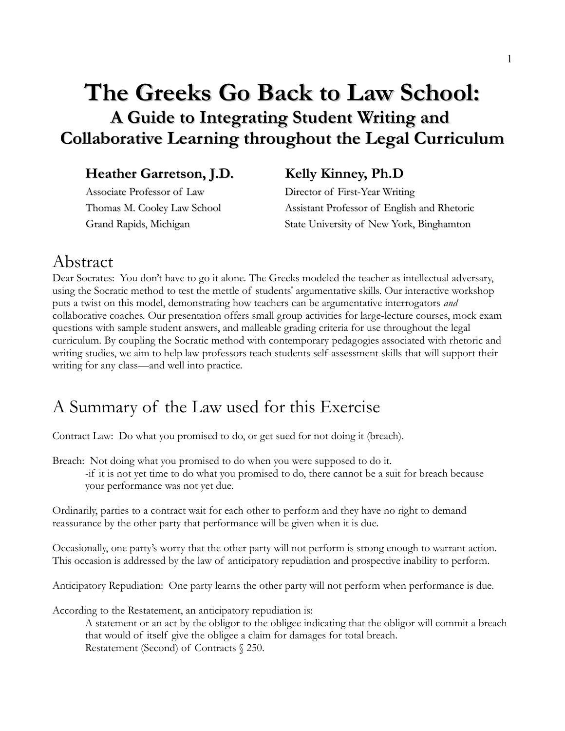### **The Greeks Go Back to Law School: A Guide to Integrating Student Writing and Collaborative Learning throughout the Legal Curriculum**

### Heather Garretson, J.D. Kelly Kinney, Ph.D

 Associate Professor of Law Director of First-Year Writing Thomas M. Cooley Law School Assistant Professor of English and Rhetoric Grand Rapids, Michigan State University of New York, Binghamton

### Abstract

Dear Socrates: You don't have to go it alone. The Greeks modeled the teacher as intellectual adversary, using the Socratic method to test the mettle of students' argumentative skills. Our interactive workshop puts a twist on this model, demonstrating how teachers can be argumentative interrogators *and* collaborative coaches. Our presentation offers small group activities for large-lecture courses, mock exam questions with sample student answers, and malleable grading criteria for use throughout the legal curriculum. By coupling the Socratic method with contemporary pedagogies associated with rhetoric and writing studies, we aim to help law professors teach students self-assessment skills that will support their writing for any class—and well into practice.

### A Summary of the Law used for this Exercise

Contract Law: Do what you promised to do, or get sued for not doing it (breach).

Breach: Not doing what you promised to do when you were supposed to do it.

-if it is not yet time to do what you promised to do, there cannot be a suit for breach because your performance was not yet due.

Ordinarily, parties to a contract wait for each other to perform and they have no right to demand reassurance by the other party that performance will be given when it is due.

Occasionally, one party's worry that the other party will not perform is strong enough to warrant action. This occasion is addressed by the law of anticipatory repudiation and prospective inability to perform.

Anticipatory Repudiation: One party learns the other party will not perform when performance is due.

According to the Restatement, an anticipatory repudiation is:

A statement or an act by the obligor to the obligee indicating that the obligor will commit a breach that would of itself give the obligee a claim for damages for total breach. Restatement (Second) of Contracts § 250.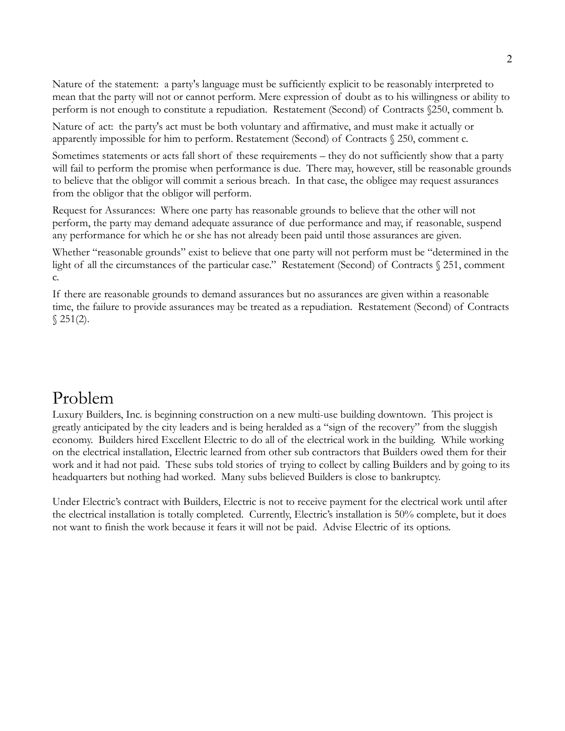Nature of the statement: a party's language must be sufficiently explicit to be reasonably interpreted to mean that the party will not or cannot perform. Mere expression of doubt as to his willingness or ability to perform is not enough to constitute a repudiation. Restatement (Second) of Contracts §250, comment b.

Nature of act: the party's act must be both voluntary and affirmative, and must make it actually or apparently impossible for him to perform. Restatement (Second) of Contracts § 250, comment c.

Sometimes statements or acts fall short of these requirements – they do not sufficiently show that a party will fail to perform the promise when performance is due. There may, however, still be reasonable grounds to believe that the obligor will commit a serious breach. In that case, the obligee may request assurances from the obligor that the obligor will perform.

Request for Assurances: Where one party has reasonable grounds to believe that the other will not perform, the party may demand adequate assurance of due performance and may, if reasonable, suspend any performance for which he or she has not already been paid until those assurances are given.

Whether "reasonable grounds" exist to believe that one party will not perform must be "determined in the light of all the circumstances of the particular case." Restatement (Second) of Contracts § 251, comment c.

If there are reasonable grounds to demand assurances but no assurances are given within a reasonable time, the failure to provide assurances may be treated as a repudiation. Restatement (Second) of Contracts  $$251(2).$ 

### Problem

Luxury Builders, Inc. is beginning construction on a new multi-use building downtown. This project is greatly anticipated by the city leaders and is being heralded as a "sign of the recovery" from the sluggish economy. Builders hired Excellent Electric to do all of the electrical work in the building. While working on the electrical installation, Electric learned from other sub contractors that Builders owed them for their work and it had not paid. These subs told stories of trying to collect by calling Builders and by going to its headquarters but nothing had worked. Many subs believed Builders is close to bankruptcy.

Under Electric's contract with Builders, Electric is not to receive payment for the electrical work until after the electrical installation is totally completed. Currently, Electric's installation is 50% complete, but it does not want to finish the work because it fears it will not be paid. Advise Electric of its options.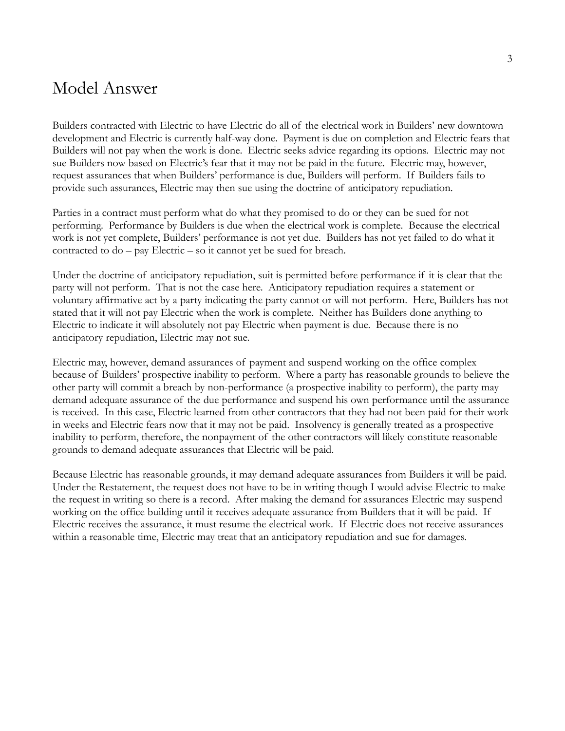### Model Answer

Builders contracted with Electric to have Electric do all of the electrical work in Builders' new downtown development and Electric is currently half-way done. Payment is due on completion and Electric fears that Builders will not pay when the work is done. Electric seeks advice regarding its options. Electric may not sue Builders now based on Electric's fear that it may not be paid in the future. Electric may, however, request assurances that when Builders' performance is due, Builders will perform. If Builders fails to provide such assurances, Electric may then sue using the doctrine of anticipatory repudiation.

Parties in a contract must perform what do what they promised to do or they can be sued for not performing. Performance by Builders is due when the electrical work is complete. Because the electrical work is not yet complete, Builders' performance is not yet due. Builders has not yet failed to do what it contracted to do – pay Electric – so it cannot yet be sued for breach.

Under the doctrine of anticipatory repudiation, suit is permitted before performance if it is clear that the party will not perform. That is not the case here. Anticipatory repudiation requires a statement or voluntary affirmative act by a party indicating the party cannot or will not perform. Here, Builders has not stated that it will not pay Electric when the work is complete. Neither has Builders done anything to Electric to indicate it will absolutely not pay Electric when payment is due. Because there is no anticipatory repudiation, Electric may not sue.

Electric may, however, demand assurances of payment and suspend working on the office complex because of Builders' prospective inability to perform. Where a party has reasonable grounds to believe the other party will commit a breach by non-performance (a prospective inability to perform), the party may demand adequate assurance of the due performance and suspend his own performance until the assurance is received. In this case, Electric learned from other contractors that they had not been paid for their work in weeks and Electric fears now that it may not be paid. Insolvency is generally treated as a prospective inability to perform, therefore, the nonpayment of the other contractors will likely constitute reasonable grounds to demand adequate assurances that Electric will be paid.

Because Electric has reasonable grounds, it may demand adequate assurances from Builders it will be paid. Under the Restatement, the request does not have to be in writing though I would advise Electric to make the request in writing so there is a record. After making the demand for assurances Electric may suspend working on the office building until it receives adequate assurance from Builders that it will be paid. If Electric receives the assurance, it must resume the electrical work. If Electric does not receive assurances within a reasonable time, Electric may treat that an anticipatory repudiation and sue for damages.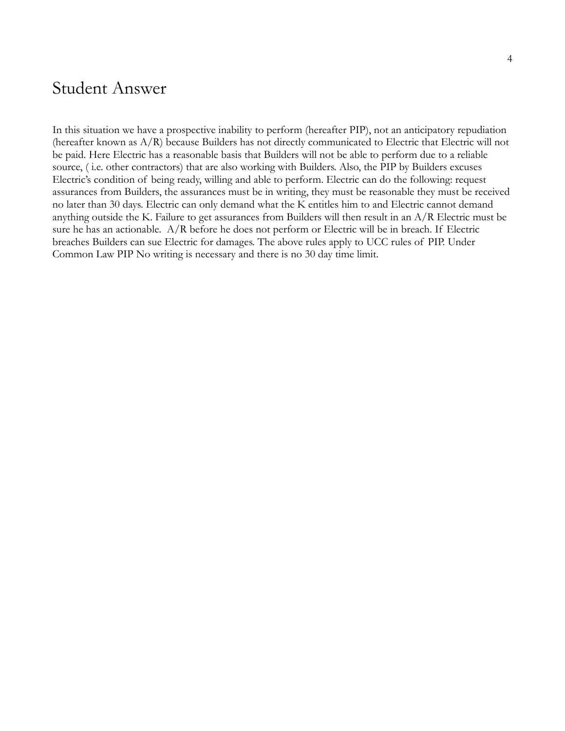### Student Answer

In this situation we have a prospective inability to perform (hereafter PIP), not an anticipatory repudiation (hereafter known as A/R) because Builders has not directly communicated to Electric that Electric will not be paid. Here Electric has a reasonable basis that Builders will not be able to perform due to a reliable source, ( i.e. other contractors) that are also working with Builders. Also, the PIP by Builders excuses Electric's condition of being ready, willing and able to perform. Electric can do the following: request assurances from Builders, the assurances must be in writing, they must be reasonable they must be received no later than 30 days. Electric can only demand what the K entitles him to and Electric cannot demand anything outside the K. Failure to get assurances from Builders will then result in an A/R Electric must be sure he has an actionable. A/R before he does not perform or Electric will be in breach. If Electric breaches Builders can sue Electric for damages. The above rules apply to UCC rules of PIP. Under Common Law PIP No writing is necessary and there is no 30 day time limit.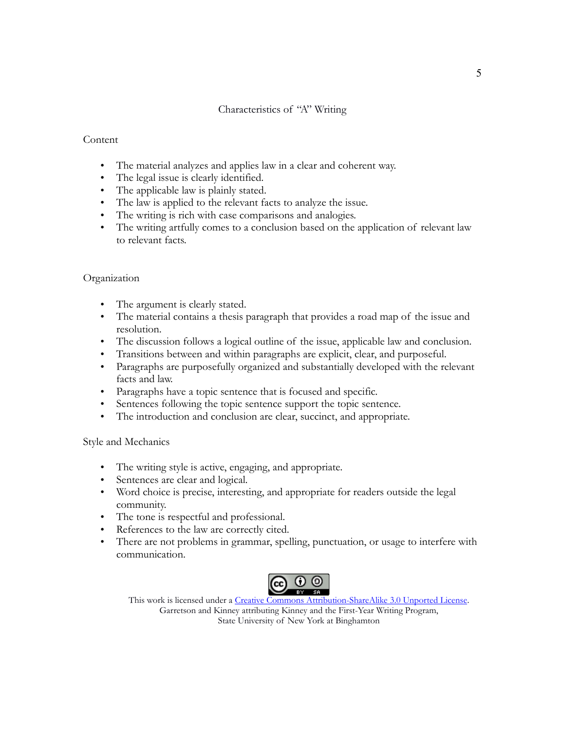#### Characteristics of "A" Writing

#### **Content**

- The material analyzes and applies law in a clear and coherent way.
- The legal issue is clearly identified.
- The applicable law is plainly stated.
- The law is applied to the relevant facts to analyze the issue.
- The writing is rich with case comparisons and analogies.
- The writing artfully comes to a conclusion based on the application of relevant law to relevant facts.

#### Organization

- The argument is clearly stated.
- The material contains a thesis paragraph that provides a road map of the issue and resolution.
- The discussion follows a logical outline of the issue, applicable law and conclusion.
- Transitions between and within paragraphs are explicit, clear, and purposeful.
- Paragraphs are purposefully organized and substantially developed with the relevant facts and law.
- Paragraphs have a topic sentence that is focused and specific.
- Sentences following the topic sentence support the topic sentence.
- The introduction and conclusion are clear, succinct, and appropriate.

Style and Mechanics

- The writing style is active, engaging, and appropriate.
- Sentences are clear and logical.
- Word choice is precise, interesting, and appropriate for readers outside the legal community.
- The tone is respectful and professional.
- References to the law are correctly cited.
- There are not problems in grammar, spelling, punctuation, or usage to interfere with communication.



This work is licensed under a [Creative Commons Attribution-ShareAlike 3.0 Unported License.](http://creativecommons.org/licenses/by-sa/3.0/) Garretson and Kinney attributing Kinney and the First-Year Writing Program, State University of New York at Binghamton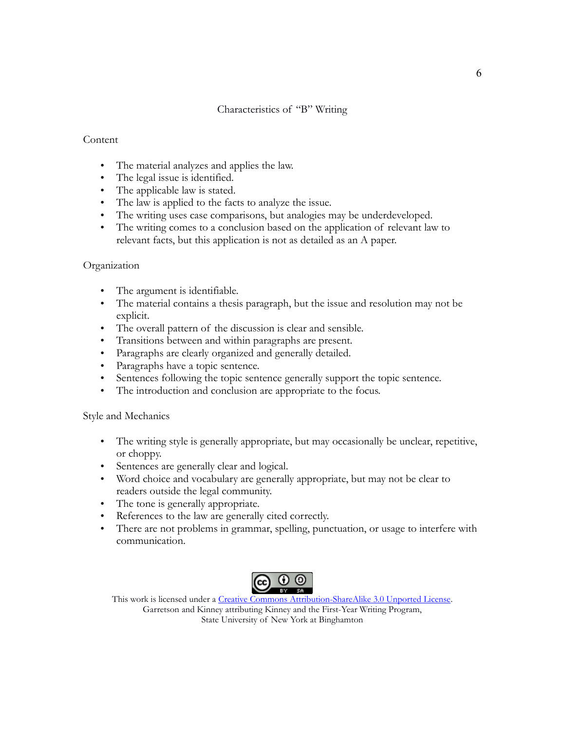#### Characteristics of "B" Writing

#### **Content**

- The material analyzes and applies the law.
- The legal issue is identified.
- The applicable law is stated.
- The law is applied to the facts to analyze the issue.
- The writing uses case comparisons, but analogies may be underdeveloped.
- The writing comes to a conclusion based on the application of relevant law to relevant facts, but this application is not as detailed as an A paper.

#### Organization

- The argument is identifiable.
- The material contains a thesis paragraph, but the issue and resolution may not be explicit.
- The overall pattern of the discussion is clear and sensible.
- Transitions between and within paragraphs are present.
- Paragraphs are clearly organized and generally detailed.
- Paragraphs have a topic sentence.
- Sentences following the topic sentence generally support the topic sentence.
- The introduction and conclusion are appropriate to the focus.

#### Style and Mechanics

- The writing style is generally appropriate, but may occasionally be unclear, repetitive, or choppy.
- Sentences are generally clear and logical.
- Word choice and vocabulary are generally appropriate, but may not be clear to readers outside the legal community.
- The tone is generally appropriate.
- References to the law are generally cited correctly.
- There are not problems in grammar, spelling, punctuation, or usage to interfere with communication.



This work is licensed under a [Creative Commons Attribution-ShareAlike 3.0 Unported License.](http://creativecommons.org/licenses/by-sa/3.0/) Garretson and Kinney attributing Kinney and the First-Year Writing Program, State University of New York at Binghamton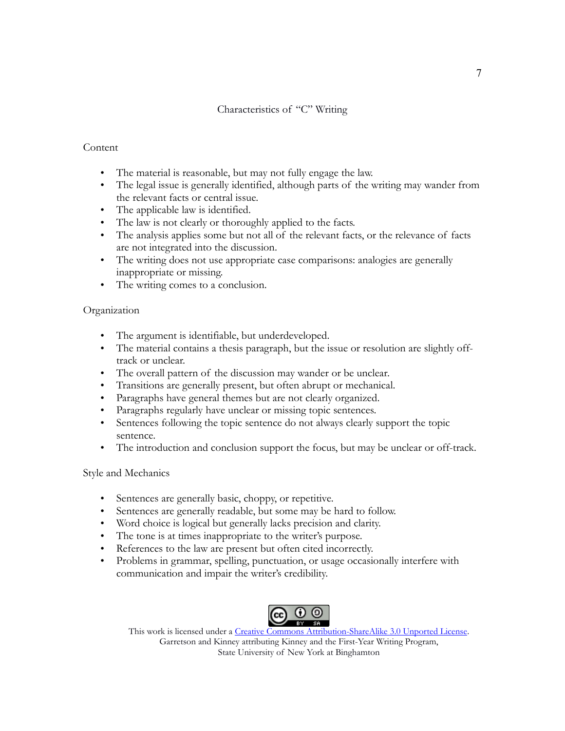#### Characteristics of "C" Writing

#### **Content**

- The material is reasonable, but may not fully engage the law.
- The legal issue is generally identified, although parts of the writing may wander from the relevant facts or central issue.
- The applicable law is identified.
- The law is not clearly or thoroughly applied to the facts.
- The analysis applies some but not all of the relevant facts, or the relevance of facts are not integrated into the discussion.
- The writing does not use appropriate case comparisons: analogies are generally inappropriate or missing.
- The writing comes to a conclusion.

#### Organization

- The argument is identifiable, but underdeveloped.
- The material contains a thesis paragraph, but the issue or resolution are slightly offtrack or unclear.
- The overall pattern of the discussion may wander or be unclear.
- Transitions are generally present, but often abrupt or mechanical.
- Paragraphs have general themes but are not clearly organized.
- Paragraphs regularly have unclear or missing topic sentences.
- Sentences following the topic sentence do not always clearly support the topic sentence.
- The introduction and conclusion support the focus, but may be unclear or off-track.

#### Style and Mechanics

- Sentences are generally basic, choppy, or repetitive.
- Sentences are generally readable, but some may be hard to follow.
- Word choice is logical but generally lacks precision and clarity.
- The tone is at times inappropriate to the writer's purpose.
- References to the law are present but often cited incorrectly.
- Problems in grammar, spelling, punctuation, or usage occasionally interfere with communication and impair the writer's credibility.



This work is licensed under a [Creative Commons Attribution-ShareAlike 3.0 Unported License.](http://creativecommons.org/licenses/by-sa/3.0/) Garretson and Kinney attributing Kinney and the First-Year Writing Program, State University of New York at Binghamton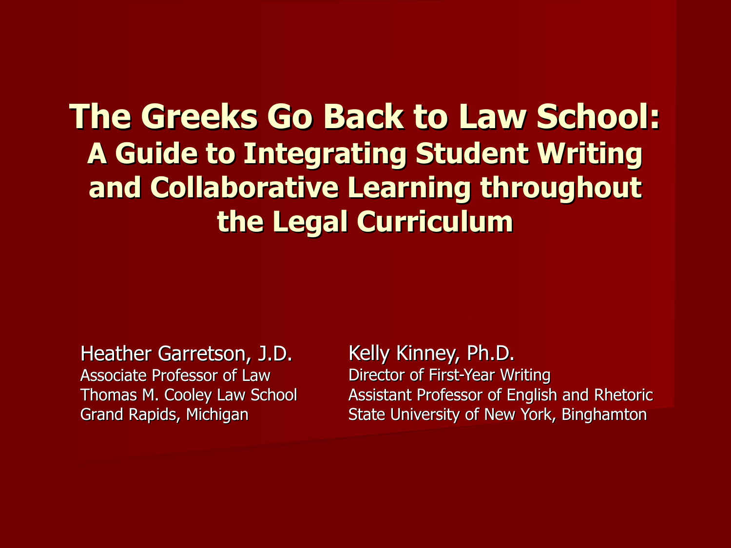### **The Greeks Go Back to Law School: A Guide to Integrating Student Writing and Collaborative Learning throughout the Legal Curriculum**

Heather Garretson, J.D. Associate Professor of Law Thomas M. Cooley Law School Grand Rapids, Michigan

Kelly Kinney, Ph.D. Director of First-Year Writing Assistant Professor of English and Rhetoric State University of New York, Binghamton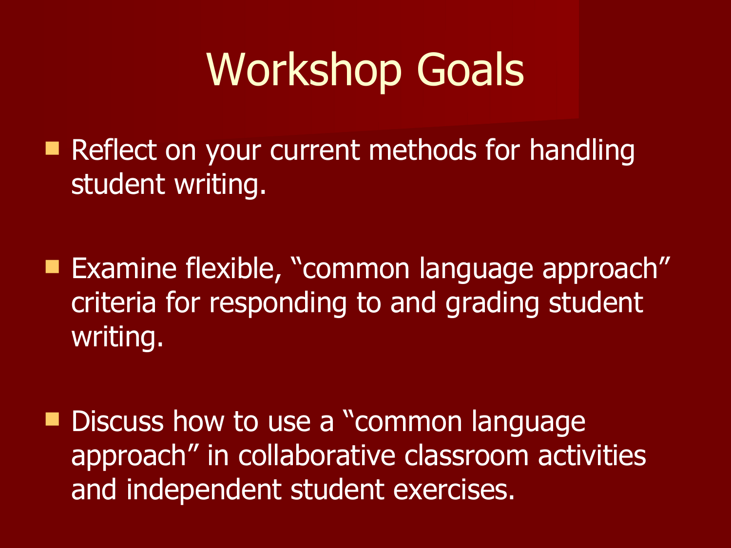## Workshop Goals

Reflect on your current methods for handling student writing.

**Examine flexible, "common language approach"** criteria for responding to and grading student writing.

Discuss how to use a "common language" approach" in collaborative classroom activities and independent student exercises.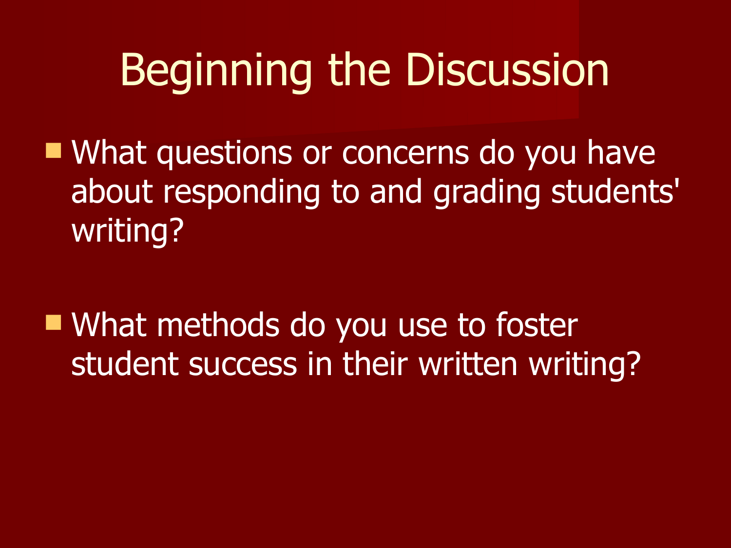## Beginning the Discussion

**Nhat questions or concerns do you have** about responding to and grading students' writing?

■ What methods do you use to foster student success in their written writing?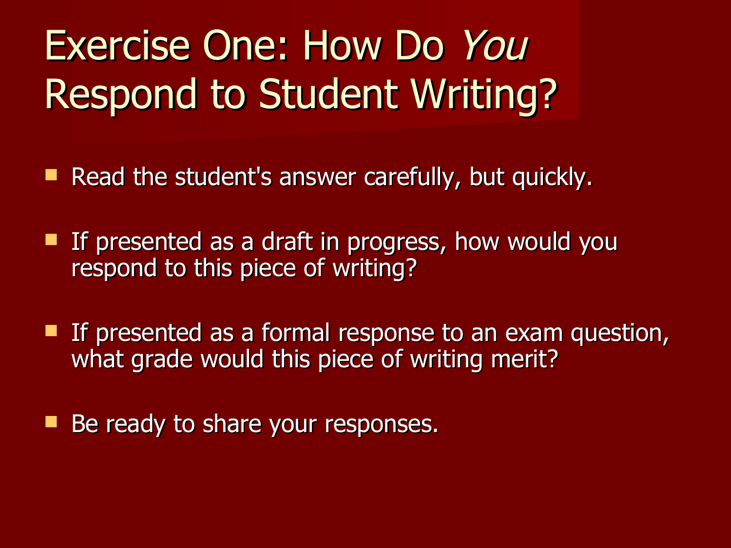## Exercise One: How Do You Respond to Student Writing?

- Read the student's answer carefully, but quickly.
- **If presented as a draft in progress, how would you** respond to this piece of writing?
- If presented as a formal response to an exam question, what grade would this piece of writing merit?
- Be ready to share your responses.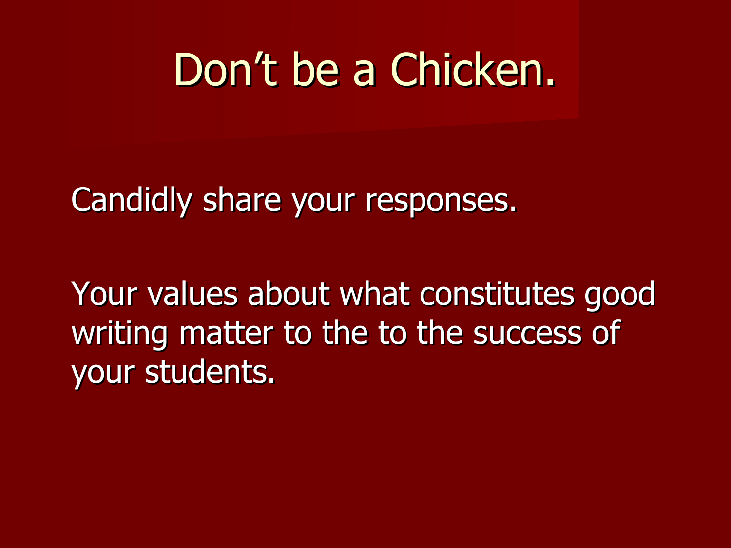## Don't be a Chicken.

Candidly share your responses.

Your values about what constitutes good writing matter to the to the success of your students.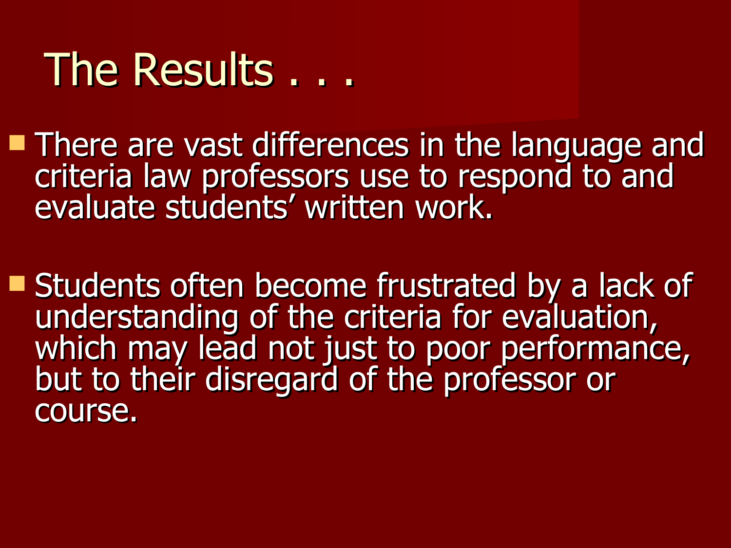### The Results . . .

**There are vast differences in the language and** criteria law professors use to respond to and evaluate students' written work.

**Students often become frustrated by a lack of** understanding of the criteria for evaluation, which may lead not just to poor performance, but to their disregard of the professor or course.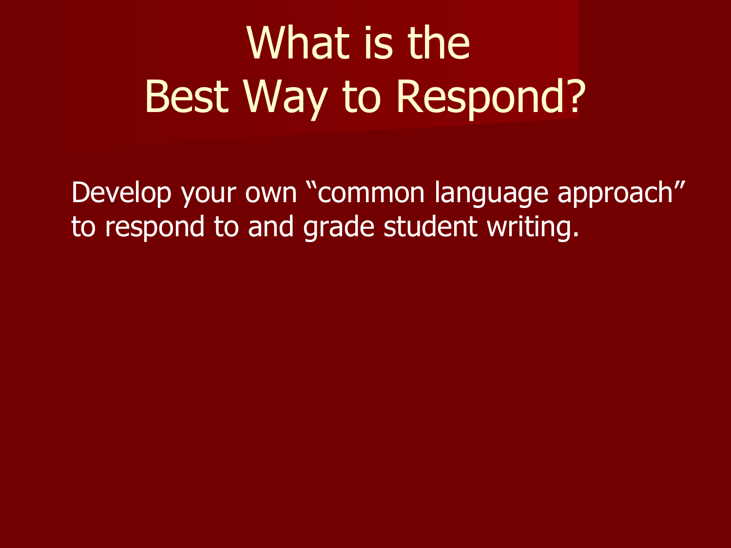# What is the Best Way to Respond?

Develop your own "common language approach" to respond to and grade student writing.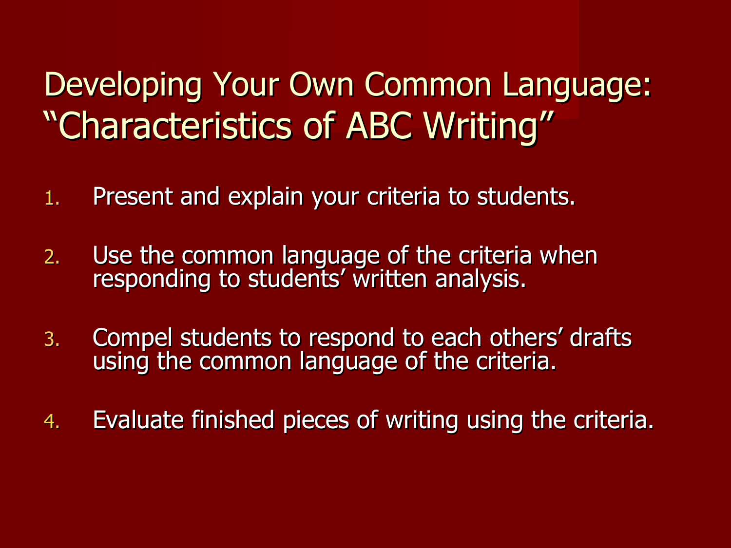### Developing Your Own Common Language: "Characteristics of ABC Writing"

- 1. Present and explain your criteria to students.
- 2. Use the common language of the criteria when responding to students' written analysis.
- 3. Compel students to respond to each others' drafts using the common language of the criteria.
- 4. Evaluate finished pieces of writing using the criteria.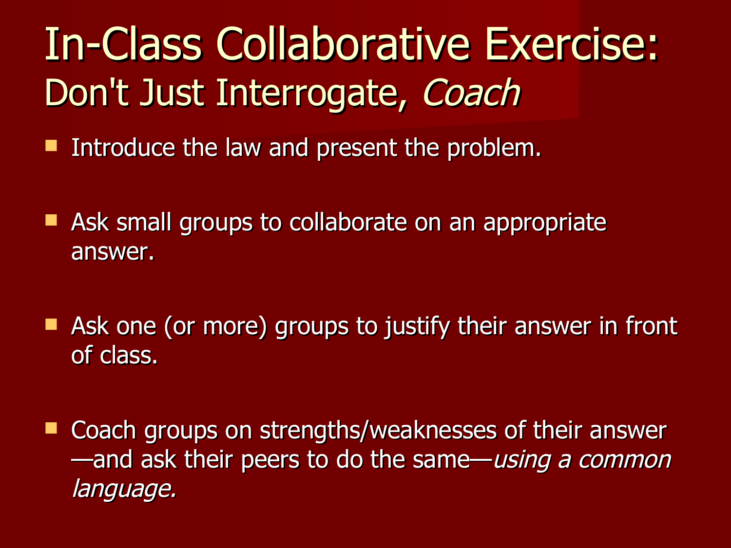## In-Class Collaborative Exercise: Don't Just Interrogate, Coach

- **Introduce the law and present the problem.**
- Ask small groups to collaborate on an appropriate answer.
- Ask one (or more) groups to justify their answer in front of class.
- Coach groups on strengths/weaknesses of their answer —and ask their peers to do the same—using a common language.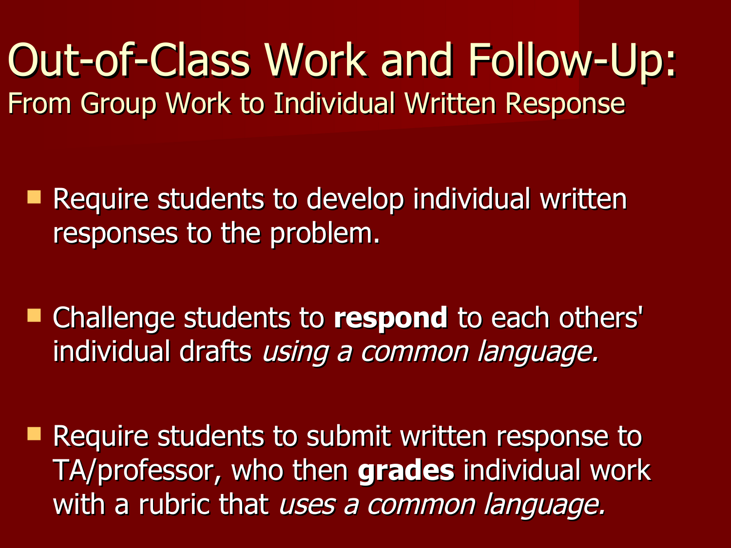Out-of-Class Work and Follow-Up: From Group Work to Individual Written Response

■ Require students to develop individual written responses to the problem.

 Challenge students to **respond** to each others' individual drafts using a common language.

**Require students to submit written response to** TA/professor, who then **grades** individual work with a rubric that uses a common language.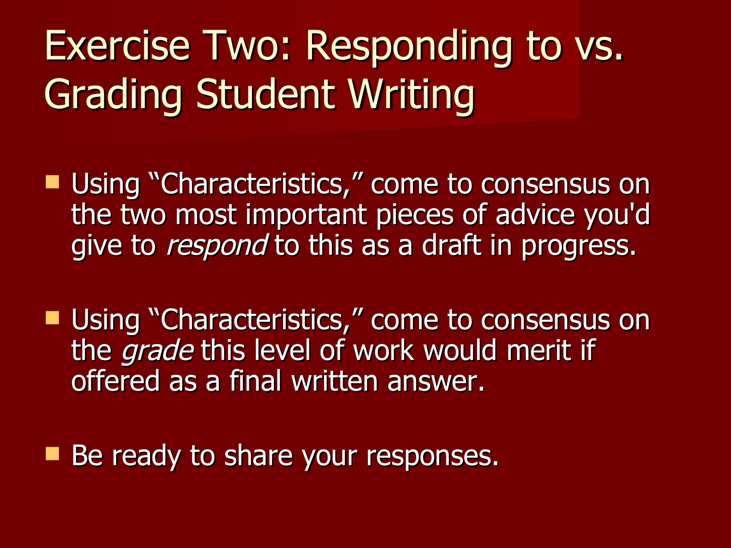## Exercise Two: Responding to vs. Grading Student Writing

- **Using "Characteristics," come to consensus on** the two most important pieces of advice you'd give to *respond* to this as a draft in progress.
- Using "Characteristics," come to consensus on the *grade* this level of work would merit if offered as a final written answer.
- Be ready to share your responses.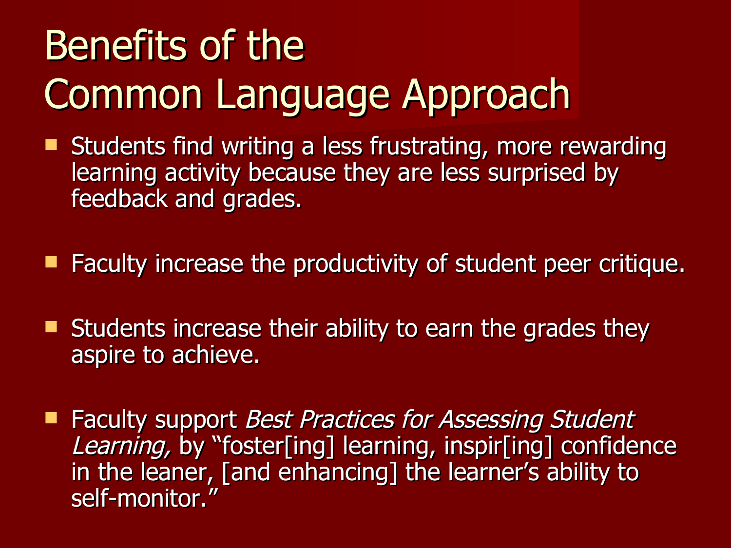## Benefits of the Common Language Approach

- Students find writing a less frustrating, more rewarding learning activity because they are less surprised by feedback and grades.
- Faculty increase the productivity of student peer critique.
- **Students increase their ability to earn the grades they** aspire to achieve.
- **Faculty support Best Practices for Assessing Student** Learning, by "foster[ing] learning, inspir[ing] confidence in the leaner, [and enhancing] the learner's ability to self-monitor."